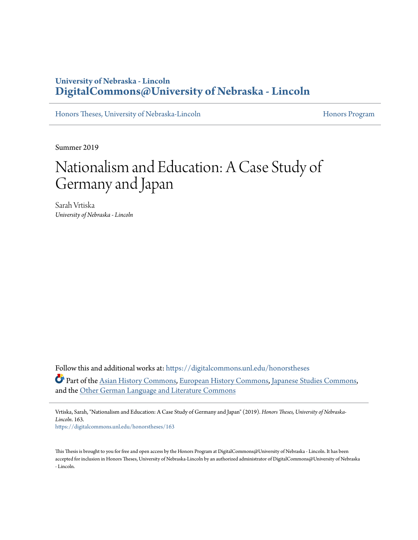### **University of Nebraska - Lincoln [DigitalCommons@University of Nebraska - Lincoln](https://digitalcommons.unl.edu?utm_source=digitalcommons.unl.edu%2Fhonorstheses%2F163&utm_medium=PDF&utm_campaign=PDFCoverPages)**

[Honors Theses, University of Nebraska-Lincoln](https://digitalcommons.unl.edu/honorstheses?utm_source=digitalcommons.unl.edu%2Fhonorstheses%2F163&utm_medium=PDF&utm_campaign=PDFCoverPages) **[Honors Program](https://digitalcommons.unl.edu/honorsprogram?utm_source=digitalcommons.unl.edu%2Fhonorstheses%2F163&utm_medium=PDF&utm_campaign=PDFCoverPages) Honors Program** 

Summer 2019

# Nationalism and Education: A Case Study of Germany and Japan

Sarah Vrtiska *University of Nebraska - Lincoln*

Follow this and additional works at: [https://digitalcommons.unl.edu/honorstheses](https://digitalcommons.unl.edu/honorstheses?utm_source=digitalcommons.unl.edu%2Fhonorstheses%2F163&utm_medium=PDF&utm_campaign=PDFCoverPages) Part of the [Asian History Commons](http://network.bepress.com/hgg/discipline/491?utm_source=digitalcommons.unl.edu%2Fhonorstheses%2F163&utm_medium=PDF&utm_campaign=PDFCoverPages), [European History Commons](http://network.bepress.com/hgg/discipline/492?utm_source=digitalcommons.unl.edu%2Fhonorstheses%2F163&utm_medium=PDF&utm_campaign=PDFCoverPages), [Japanese Studies Commons](http://network.bepress.com/hgg/discipline/1287?utm_source=digitalcommons.unl.edu%2Fhonorstheses%2F163&utm_medium=PDF&utm_campaign=PDFCoverPages), and the [Other German Language and Literature Commons](http://network.bepress.com/hgg/discipline/470?utm_source=digitalcommons.unl.edu%2Fhonorstheses%2F163&utm_medium=PDF&utm_campaign=PDFCoverPages)

Vrtiska, Sarah, "Nationalism and Education: A Case Study of Germany and Japan" (2019). *Honors Theses, University of Nebraska-Lincoln*. 163.

[https://digitalcommons.unl.edu/honorstheses/163](https://digitalcommons.unl.edu/honorstheses/163?utm_source=digitalcommons.unl.edu%2Fhonorstheses%2F163&utm_medium=PDF&utm_campaign=PDFCoverPages)

This Thesis is brought to you for free and open access by the Honors Program at DigitalCommons@University of Nebraska - Lincoln. It has been accepted for inclusion in Honors Theses, University of Nebraska-Lincoln by an authorized administrator of DigitalCommons@University of Nebraska - Lincoln.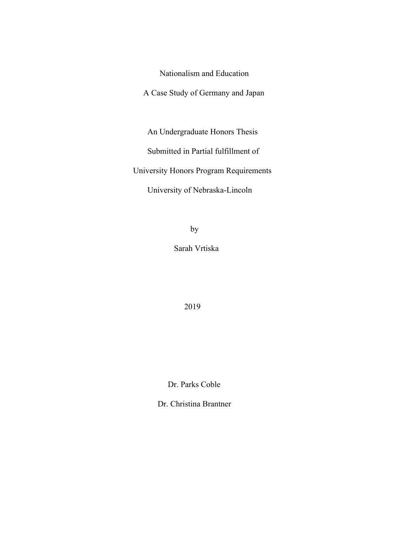Nationalism and Education

A Case Study of Germany and Japan

An Undergraduate Honors Thesis

Submitted in Partial fulfillment of

University Honors Program Requirements

University of Nebraska-Lincoln

by

Sarah Vrtiska

2019

Dr. Parks Coble

Dr. Christina Brantner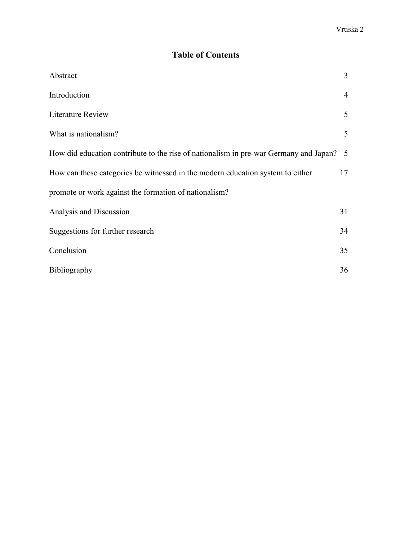## **Table of Contents**

| Abstract                                                                              | $\overline{3}$  |
|---------------------------------------------------------------------------------------|-----------------|
| Introduction                                                                          | $\overline{4}$  |
| <b>Literature Review</b>                                                              | 5               |
| What is nationalism?                                                                  | 5               |
| How did education contribute to the rise of nationalism in pre-war Germany and Japan? | $5\overline{)}$ |
| How can these categories be witnessed in the modern education system to either        | 17              |
| promote or work against the formation of nationalism?                                 |                 |
| Analysis and Discussion                                                               | 31              |
| Suggestions for further research                                                      | 34              |
| Conclusion                                                                            | 35              |
| <b>Bibliography</b>                                                                   | 36              |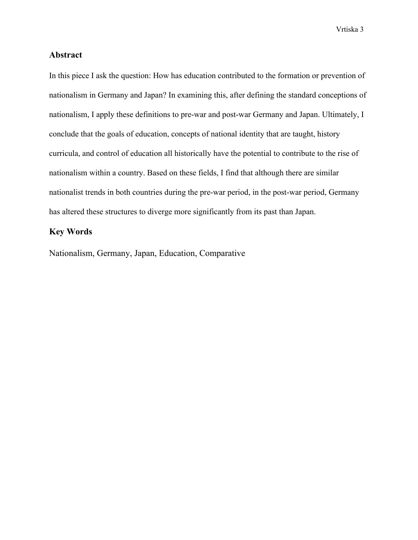### **Abstract**

In this piece I ask the question: How has education contributed to the formation or prevention of nationalism in Germany and Japan? In examining this, after defining the standard conceptions of nationalism, I apply these definitions to pre-war and post-war Germany and Japan. Ultimately, I conclude that the goals of education, concepts of national identity that are taught, history curricula, and control of education all historically have the potential to contribute to the rise of nationalism within a country. Based on these fields, I find that although there are similar nationalist trends in both countries during the pre-war period, in the post-war period, Germany has altered these structures to diverge more significantly from its past than Japan.

### **Key Words**

Nationalism, Germany, Japan, Education, Comparative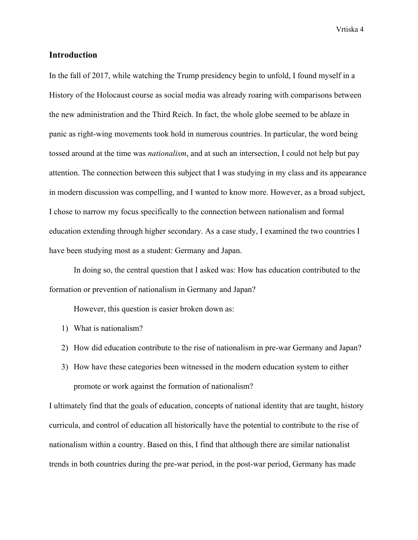### **Introduction**

In the fall of 2017, while watching the Trump presidency begin to unfold, I found myself in a History of the Holocaust course as social media was already roaring with comparisons between the new administration and the Third Reich. In fact, the whole globe seemed to be ablaze in panic as right-wing movements took hold in numerous countries. In particular, the word being tossed around at the time was *nationalism*, and at such an intersection, I could not help but pay attention. The connection between this subject that I was studying in my class and its appearance in modern discussion was compelling, and I wanted to know more. However, as a broad subject, I chose to narrow my focus specifically to the connection between nationalism and formal education extending through higher secondary. As a case study, I examined the two countries I have been studying most as a student: Germany and Japan.

In doing so, the central question that I asked was: How has education contributed to the formation or prevention of nationalism in Germany and Japan?

However, this question is easier broken down as:

- 1) What is nationalism?
- 2) How did education contribute to the rise of nationalism in pre-war Germany and Japan?
- 3) How have these categories been witnessed in the modern education system to either promote or work against the formation of nationalism?

I ultimately find that the goals of education, concepts of national identity that are taught, history curricula, and control of education all historically have the potential to contribute to the rise of nationalism within a country. Based on this, I find that although there are similar nationalist trends in both countries during the pre-war period, in the post-war period, Germany has made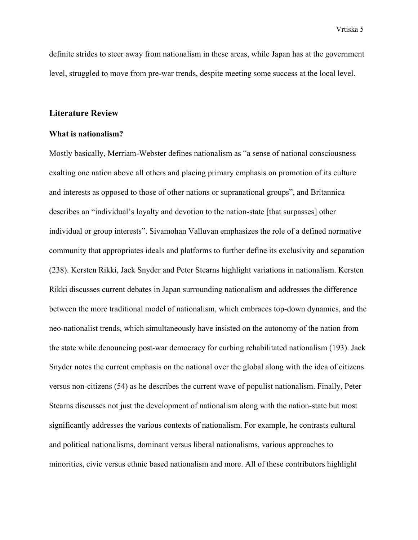definite strides to steer away from nationalism in these areas, while Japan has at the government level, struggled to move from pre-war trends, despite meeting some success at the local level.

### **Literature Review**

### **What is nationalism?**

Mostly basically, Merriam-Webster defines nationalism as "a sense of national consciousness exalting one nation above all others and placing primary emphasis on promotion of its culture and interests as opposed to those of other nations or supranational groups", and Britannica describes an "individual's loyalty and devotion to the nation-state [that surpasses] other individual or group interests". Sivamohan Valluvan emphasizes the role of a defined normative community that appropriates ideals and platforms to further define its exclusivity and separation (238). Kersten Rikki, Jack Snyder and Peter Stearns highlight variations in nationalism. Kersten Rikki discusses current debates in Japan surrounding nationalism and addresses the difference between the more traditional model of nationalism, which embraces top-down dynamics, and the neo-nationalist trends, which simultaneously have insisted on the autonomy of the nation from the state while denouncing post-war democracy for curbing rehabilitated nationalism (193). Jack Snyder notes the current emphasis on the national over the global along with the idea of citizens versus non-citizens (54) as he describes the current wave of populist nationalism. Finally, Peter Stearns discusses not just the development of nationalism along with the nation-state but most significantly addresses the various contexts of nationalism. For example, he contrasts cultural and political nationalisms, dominant versus liberal nationalisms, various approaches to minorities, civic versus ethnic based nationalism and more. All of these contributors highlight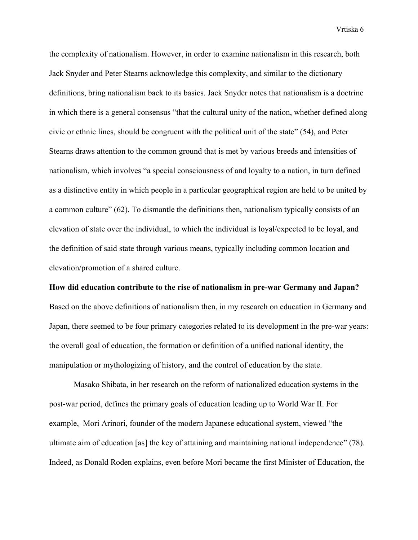the complexity of nationalism. However, in order to examine nationalism in this research, both Jack Snyder and Peter Stearns acknowledge this complexity, and similar to the dictionary definitions, bring nationalism back to its basics. Jack Snyder notes that nationalism is a doctrine in which there is a general consensus "that the cultural unity of the nation, whether defined along civic or ethnic lines, should be congruent with the political unit of the state" (54), and Peter Stearns draws attention to the common ground that is met by various breeds and intensities of nationalism, which involves "a special consciousness of and loyalty to a nation, in turn defined as a distinctive entity in which people in a particular geographical region are held to be united by a common culture" (62). To dismantle the definitions then, nationalism typically consists of an elevation of state over the individual, to which the individual is loyal/expected to be loyal, and the definition of said state through various means, typically including common location and elevation/promotion of a shared culture.

**How did education contribute to the rise of nationalism in pre-war Germany and Japan?** Based on the above definitions of nationalism then, in my research on education in Germany and Japan, there seemed to be four primary categories related to its development in the pre-war years: the overall goal of education, the formation or definition of a unified national identity, the manipulation or mythologizing of history, and the control of education by the state.

Masako Shibata, in her research on the reform of nationalized education systems in the post-war period, defines the primary goals of education leading up to World War II. For example, Mori Arinori, founder of the modern Japanese educational system, viewed "the ultimate aim of education [as] the key of attaining and maintaining national independence" (78). Indeed, as Donald Roden explains, even before Mori became the first Minister of Education, the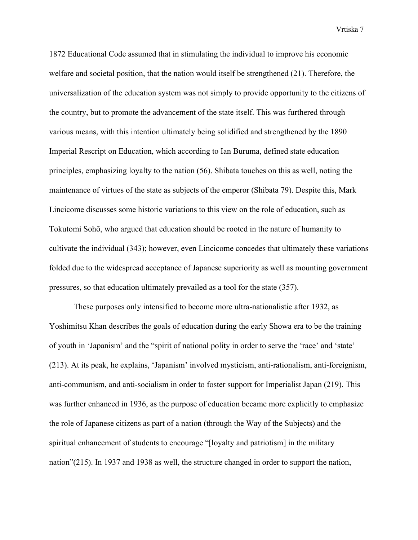1872 Educational Code assumed that in stimulating the individual to improve his economic welfare and societal position, that the nation would itself be strengthened (21). Therefore, the universalization of the education system was not simply to provide opportunity to the citizens of the country, but to promote the advancement of the state itself. This was furthered through various means, with this intention ultimately being solidified and strengthened by the 1890 Imperial Rescript on Education, which according to Ian Buruma, defined state education principles, emphasizing loyalty to the nation (56). Shibata touches on this as well, noting the maintenance of virtues of the state as subjects of the emperor (Shibata 79). Despite this, Mark Lincicome discusses some historic variations to this view on the role of education, such as Tokutomi Sohō, who argued that education should be rooted in the nature of humanity to cultivate the individual (343); however, even Lincicome concedes that ultimately these variations folded due to the widespread acceptance of Japanese superiority as well as mounting government pressures, so that education ultimately prevailed as a tool for the state (357).

These purposes only intensified to become more ultra-nationalistic after 1932, as Yoshimitsu Khan describes the goals of education during the early Showa era to be the training of youth in 'Japanism' and the "spirit of national polity in order to serve the 'race' and 'state' (213). At its peak, he explains, 'Japanism' involved mysticism, anti-rationalism, anti-foreignism, anti-communism, and anti-socialism in order to foster support for Imperialist Japan (219). This was further enhanced in 1936, as the purpose of education became more explicitly to emphasize the role of Japanese citizens as part of a nation (through the Way of the Subjects) and the spiritual enhancement of students to encourage "[loyalty and patriotism] in the military nation"(215). In 1937 and 1938 as well, the structure changed in order to support the nation,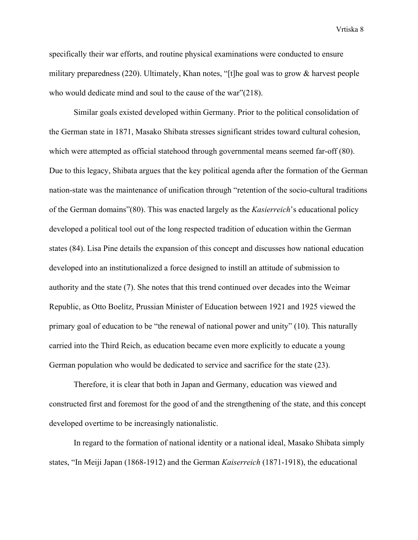specifically their war efforts, and routine physical examinations were conducted to ensure military preparedness (220). Ultimately, Khan notes, "[t]he goal was to grow & harvest people who would dedicate mind and soul to the cause of the war"(218).

Similar goals existed developed within Germany. Prior to the political consolidation of the German state in 1871, Masako Shibata stresses significant strides toward cultural cohesion, which were attempted as official statehood through governmental means seemed far-off (80). Due to this legacy, Shibata argues that the key political agenda after the formation of the German nation-state was the maintenance of unification through "retention of the socio-cultural traditions of the German domains"(80). This was enacted largely as the *Kasierreich*'s educational policy developed a political tool out of the long respected tradition of education within the German states (84). Lisa Pine details the expansion of this concept and discusses how national education developed into an institutionalized a force designed to instill an attitude of submission to authority and the state (7). She notes that this trend continued over decades into the Weimar Republic, as Otto Boelitz, Prussian Minister of Education between 1921 and 1925 viewed the primary goal of education to be "the renewal of national power and unity" (10). This naturally carried into the Third Reich, as education became even more explicitly to educate a young German population who would be dedicated to service and sacrifice for the state (23).

Therefore, it is clear that both in Japan and Germany, education was viewed and constructed first and foremost for the good of and the strengthening of the state, and this concept developed overtime to be increasingly nationalistic.

In regard to the formation of national identity or a national ideal, Masako Shibata simply states, "In Meiji Japan (1868-1912) and the German *Kaiserreich* (1871-1918), the educational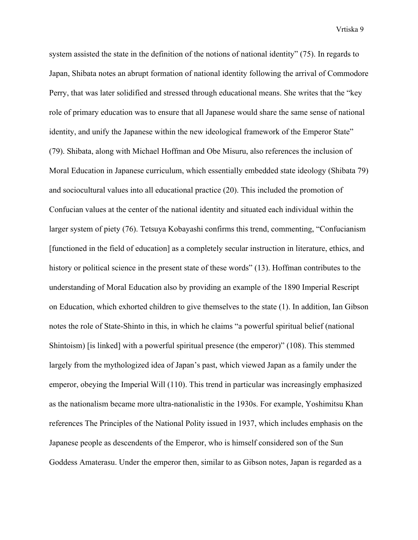system assisted the state in the definition of the notions of national identity" (75). In regards to Japan, Shibata notes an abrupt formation of national identity following the arrival of Commodore Perry, that was later solidified and stressed through educational means. She writes that the "key role of primary education was to ensure that all Japanese would share the same sense of national identity, and unify the Japanese within the new ideological framework of the Emperor State" (79). Shibata, along with Michael Hoffman and Obe Misuru, also references the inclusion of Moral Education in Japanese curriculum, which essentially embedded state ideology (Shibata 79) and sociocultural values into all educational practice (20). This included the promotion of Confucian values at the center of the national identity and situated each individual within the larger system of piety (76). Tetsuya Kobayashi confirms this trend, commenting, "Confucianism [functioned in the field of education] as a completely secular instruction in literature, ethics, and history or political science in the present state of these words" (13). Hoffman contributes to the understanding of Moral Education also by providing an example of the 1890 Imperial Rescript on Education, which exhorted children to give themselves to the state (1). In addition, Ian Gibson notes the role of State-Shinto in this, in which he claims "a powerful spiritual belief (national Shintoism) [is linked] with a powerful spiritual presence (the emperor)" (108). This stemmed largely from the mythologized idea of Japan's past, which viewed Japan as a family under the emperor, obeying the Imperial Will (110). This trend in particular was increasingly emphasized as the nationalism became more ultra-nationalistic in the 1930s. For example, Yoshimitsu Khan references The Principles of the National Polity issued in 1937, which includes emphasis on the Japanese people as descendents of the Emperor, who is himself considered son of the Sun Goddess Amaterasu. Under the emperor then, similar to as Gibson notes, Japan is regarded as a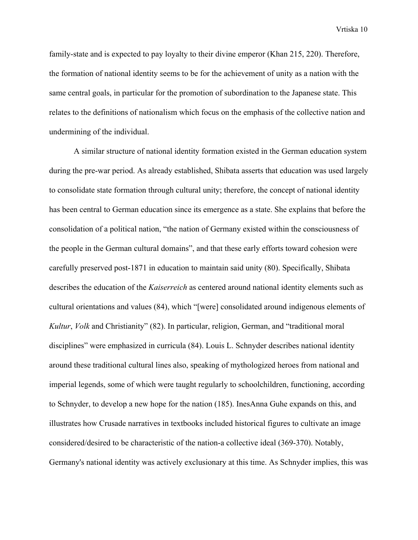family-state and is expected to pay loyalty to their divine emperor (Khan 215, 220). Therefore, the formation of national identity seems to be for the achievement of unity as a nation with the same central goals, in particular for the promotion of subordination to the Japanese state. This relates to the definitions of nationalism which focus on the emphasis of the collective nation and undermining of the individual.

A similar structure of national identity formation existed in the German education system during the pre-war period. As already established, Shibata asserts that education was used largely to consolidate state formation through cultural unity; therefore, the concept of national identity has been central to German education since its emergence as a state. She explains that before the consolidation of a political nation, "the nation of Germany existed within the consciousness of the people in the German cultural domains", and that these early efforts toward cohesion were carefully preserved post-1871 in education to maintain said unity (80). Specifically, Shibata describes the education of the *Kaiserreich* as centered around national identity elements such as cultural orientations and values (84), which "[were] consolidated around indigenous elements of *Kultur*, *Volk* and Christianity" (82). In particular, religion, German, and "traditional moral disciplines" were emphasized in curricula (84). Louis L. Schnyder describes national identity around these traditional cultural lines also, speaking of mythologized heroes from national and imperial legends, some of which were taught regularly to schoolchildren, functioning, according to Schnyder, to develop a new hope for the nation (185). InesAnna Guhe expands on this, and illustrates how Crusade narratives in textbooks included historical figures to cultivate an image considered/desired to be characteristic of the nation-a collective ideal (369-370). Notably, Germany's national identity was actively exclusionary at this time. As Schnyder implies, this was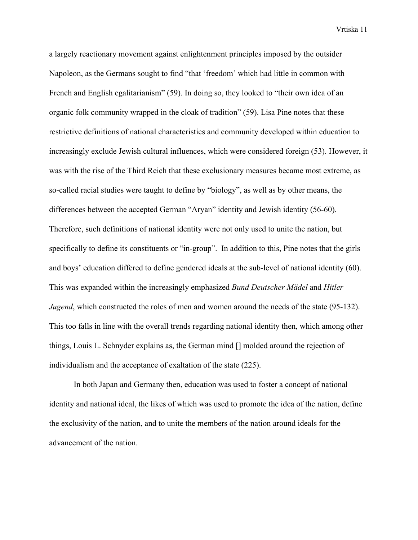a largely reactionary movement against enlightenment principles imposed by the outsider Napoleon, as the Germans sought to find "that 'freedom' which had little in common with French and English egalitarianism" (59). In doing so, they looked to "their own idea of an organic folk community wrapped in the cloak of tradition" (59). Lisa Pine notes that these restrictive definitions of national characteristics and community developed within education to increasingly exclude Jewish cultural influences, which were considered foreign (53). However, it was with the rise of the Third Reich that these exclusionary measures became most extreme, as so-called racial studies were taught to define by "biology", as well as by other means, the differences between the accepted German "Aryan" identity and Jewish identity (56-60). Therefore, such definitions of national identity were not only used to unite the nation, but specifically to define its constituents or "in-group". In addition to this, Pine notes that the girls and boys' education differed to define gendered ideals at the sub-level of national identity (60). This was expanded within the increasingly emphasized *Bund Deutscher Mädel* and *Hitler Jugend*, which constructed the roles of men and women around the needs of the state (95-132). This too falls in line with the overall trends regarding national identity then, which among other things, Louis L. Schnyder explains as, the German mind [] molded around the rejection of individualism and the acceptance of exaltation of the state (225).

In both Japan and Germany then, education was used to foster a concept of national identity and national ideal, the likes of which was used to promote the idea of the nation, define the exclusivity of the nation, and to unite the members of the nation around ideals for the advancement of the nation.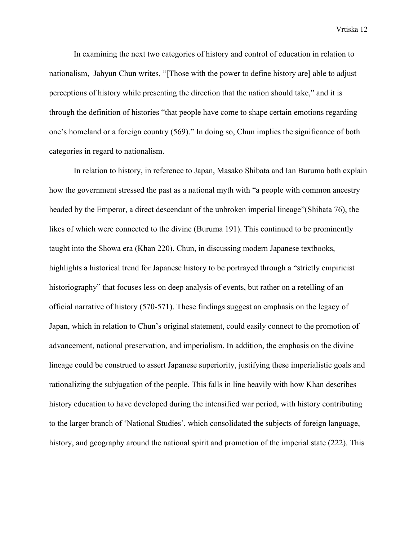In examining the next two categories of history and control of education in relation to nationalism, Jahyun Chun writes, "[Those with the power to define history are] able to adjust perceptions of history while presenting the direction that the nation should take," and it is through the definition of histories "that people have come to shape certain emotions regarding one's homeland or a foreign country (569)." In doing so, Chun implies the significance of both categories in regard to nationalism.

In relation to history, in reference to Japan, Masako Shibata and Ian Buruma both explain how the government stressed the past as a national myth with "a people with common ancestry headed by the Emperor, a direct descendant of the unbroken imperial lineage"(Shibata 76), the likes of which were connected to the divine (Buruma 191). This continued to be prominently taught into the Showa era (Khan 220). Chun, in discussing modern Japanese textbooks, highlights a historical trend for Japanese history to be portrayed through a "strictly empiricist historiography" that focuses less on deep analysis of events, but rather on a retelling of an official narrative of history (570-571). These findings suggest an emphasis on the legacy of Japan, which in relation to Chun's original statement, could easily connect to the promotion of advancement, national preservation, and imperialism. In addition, the emphasis on the divine lineage could be construed to assert Japanese superiority, justifying these imperialistic goals and rationalizing the subjugation of the people. This falls in line heavily with how Khan describes history education to have developed during the intensified war period, with history contributing to the larger branch of 'National Studies', which consolidated the subjects of foreign language, history, and geography around the national spirit and promotion of the imperial state (222). This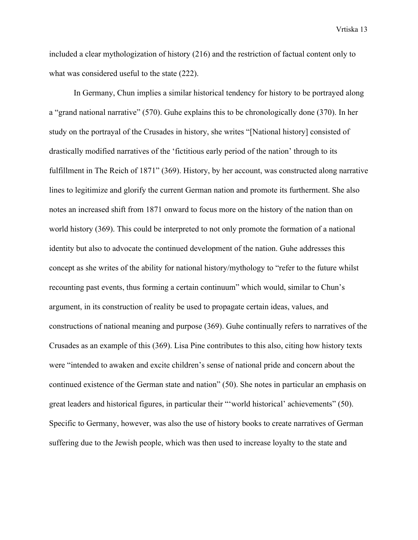included a clear mythologization of history (216) and the restriction of factual content only to what was considered useful to the state (222).

In Germany, Chun implies a similar historical tendency for history to be portrayed along a "grand national narrative" (570). Guhe explains this to be chronologically done (370). In her study on the portrayal of the Crusades in history, she writes "[National history] consisted of drastically modified narratives of the 'fictitious early period of the nation' through to its fulfillment in The Reich of 1871" (369). History, by her account, was constructed along narrative lines to legitimize and glorify the current German nation and promote its furtherment. She also notes an increased shift from 1871 onward to focus more on the history of the nation than on world history (369). This could be interpreted to not only promote the formation of a national identity but also to advocate the continued development of the nation. Guhe addresses this concept as she writes of the ability for national history/mythology to "refer to the future whilst recounting past events, thus forming a certain continuum" which would, similar to Chun's argument, in its construction of reality be used to propagate certain ideas, values, and constructions of national meaning and purpose (369). Guhe continually refers to narratives of the Crusades as an example of this (369). Lisa Pine contributes to this also, citing how history texts were "intended to awaken and excite children's sense of national pride and concern about the continued existence of the German state and nation" (50). She notes in particular an emphasis on great leaders and historical figures, in particular their "'world historical' achievements" (50). Specific to Germany, however, was also the use of history books to create narratives of German suffering due to the Jewish people, which was then used to increase loyalty to the state and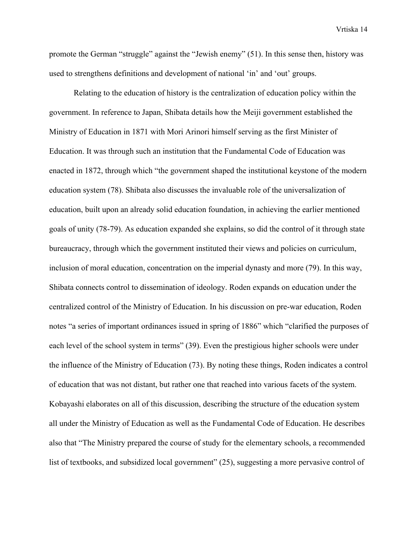promote the German "struggle" against the "Jewish enemy" (51). In this sense then, history was used to strengthens definitions and development of national 'in' and 'out' groups.

Relating to the education of history is the centralization of education policy within the government. In reference to Japan, Shibata details how the Meiji government established the Ministry of Education in 1871 with Mori Arinori himself serving as the first Minister of Education. It was through such an institution that the Fundamental Code of Education was enacted in 1872, through which "the government shaped the institutional keystone of the modern education system (78). Shibata also discusses the invaluable role of the universalization of education, built upon an already solid education foundation, in achieving the earlier mentioned goals of unity (78-79). As education expanded she explains, so did the control of it through state bureaucracy, through which the government instituted their views and policies on curriculum, inclusion of moral education, concentration on the imperial dynasty and more (79). In this way, Shibata connects control to dissemination of ideology. Roden expands on education under the centralized control of the Ministry of Education. In his discussion on pre-war education, Roden notes "a series of important ordinances issued in spring of 1886" which "clarified the purposes of each level of the school system in terms" (39). Even the prestigious higher schools were under the influence of the Ministry of Education (73). By noting these things, Roden indicates a control of education that was not distant, but rather one that reached into various facets of the system. Kobayashi elaborates on all of this discussion, describing the structure of the education system all under the Ministry of Education as well as the Fundamental Code of Education. He describes also that "The Ministry prepared the course of study for the elementary schools, a recommended list of textbooks, and subsidized local government" (25), suggesting a more pervasive control of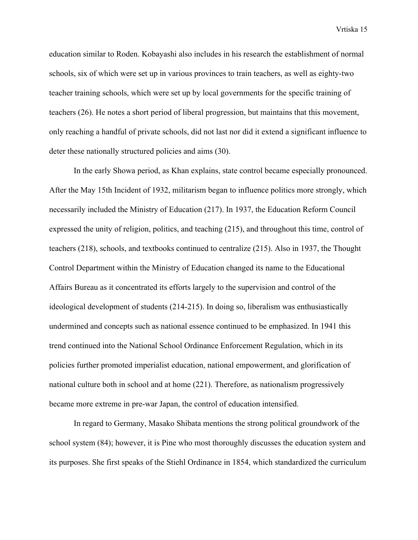education similar to Roden. Kobayashi also includes in his research the establishment of normal schools, six of which were set up in various provinces to train teachers, as well as eighty-two teacher training schools, which were set up by local governments for the specific training of teachers (26). He notes a short period of liberal progression, but maintains that this movement, only reaching a handful of private schools, did not last nor did it extend a significant influence to deter these nationally structured policies and aims (30).

In the early Showa period, as Khan explains, state control became especially pronounced. After the May 15th Incident of 1932, militarism began to influence politics more strongly, which necessarily included the Ministry of Education (217). In 1937, the Education Reform Council expressed the unity of religion, politics, and teaching (215), and throughout this time, control of teachers (218), schools, and textbooks continued to centralize (215). Also in 1937, the Thought Control Department within the Ministry of Education changed its name to the Educational Affairs Bureau as it concentrated its efforts largely to the supervision and control of the ideological development of students (214-215). In doing so, liberalism was enthusiastically undermined and concepts such as national essence continued to be emphasized. In 1941 this trend continued into the National School Ordinance Enforcement Regulation, which in its policies further promoted imperialist education, national empowerment, and glorification of national culture both in school and at home (221). Therefore, as nationalism progressively became more extreme in pre-war Japan, the control of education intensified.

In regard to Germany, Masako Shibata mentions the strong political groundwork of the school system (84); however, it is Pine who most thoroughly discusses the education system and its purposes. She first speaks of the Stiehl Ordinance in 1854, which standardized the curriculum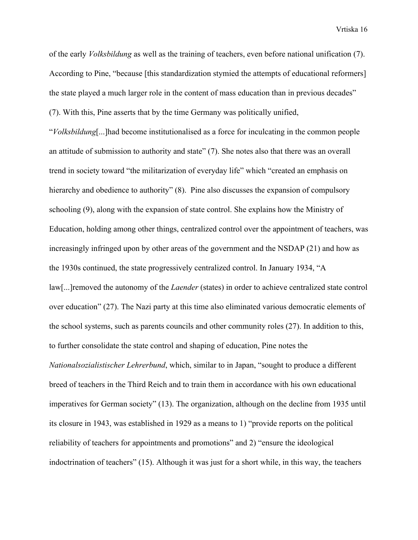of the early *Volksbildung* as well as the training of teachers, even before national unification (7). According to Pine, "because [this standardization stymied the attempts of educational reformers] the state played a much larger role in the content of mass education than in previous decades" (7). With this, Pine asserts that by the time Germany was politically unified,

"*Volksbildung*[...]had become institutionalised as a force for inculcating in the common people an attitude of submission to authority and state" (7). She notes also that there was an overall trend in society toward "the militarization of everyday life" which "created an emphasis on hierarchy and obedience to authority" (8). Pine also discusses the expansion of compulsory schooling (9), along with the expansion of state control. She explains how the Ministry of Education, holding among other things, centralized control over the appointment of teachers, was increasingly infringed upon by other areas of the government and the NSDAP (21) and how as the 1930s continued, the state progressively centralized control. In January 1934, "A law[...]removed the autonomy of the *Laender* (states) in order to achieve centralized state control over education" (27). The Nazi party at this time also eliminated various democratic elements of the school systems, such as parents councils and other community roles (27). In addition to this, to further consolidate the state control and shaping of education, Pine notes the *Nationalsozialistischer Lehrerbund*, which, similar to in Japan, "sought to produce a different breed of teachers in the Third Reich and to train them in accordance with his own educational imperatives for German society" (13). The organization, although on the decline from 1935 until its closure in 1943, was established in 1929 as a means to 1) "provide reports on the political reliability of teachers for appointments and promotions" and 2) "ensure the ideological indoctrination of teachers" (15). Although it was just for a short while, in this way, the teachers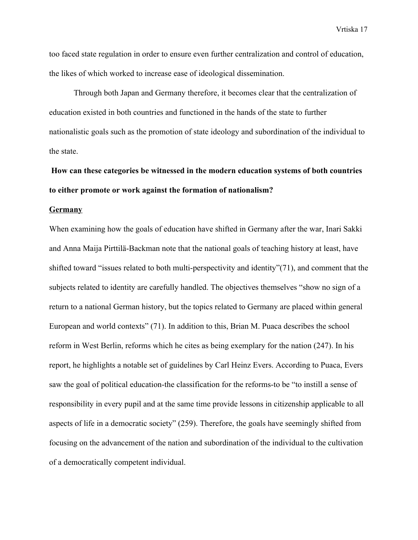too faced state regulation in order to ensure even further centralization and control of education, the likes of which worked to increase ease of ideological dissemination.

Through both Japan and Germany therefore, it becomes clear that the centralization of education existed in both countries and functioned in the hands of the state to further nationalistic goals such as the promotion of state ideology and subordination of the individual to the state.

# **How can these categories be witnessed in the modern education systems of both countries to either promote or work against the formation of nationalism?**

### **Germany**

When examining how the goals of education have shifted in Germany after the war, Inari Sakki and Anna Maija Pirttilä-Backman note that the national goals of teaching history at least, have shifted toward "issues related to both multi-perspectivity and identity"(71), and comment that the subjects related to identity are carefully handled. The objectives themselves "show no sign of a return to a national German history, but the topics related to Germany are placed within general European and world contexts" (71). In addition to this, Brian M. Puaca describes the school reform in West Berlin, reforms which he cites as being exemplary for the nation (247). In his report, he highlights a notable set of guidelines by Carl Heinz Evers. According to Puaca, Evers saw the goal of political education-the classification for the reforms-to be "to instill a sense of responsibility in every pupil and at the same time provide lessons in citizenship applicable to all aspects of life in a democratic society" (259). Therefore, the goals have seemingly shifted from focusing on the advancement of the nation and subordination of the individual to the cultivation of a democratically competent individual.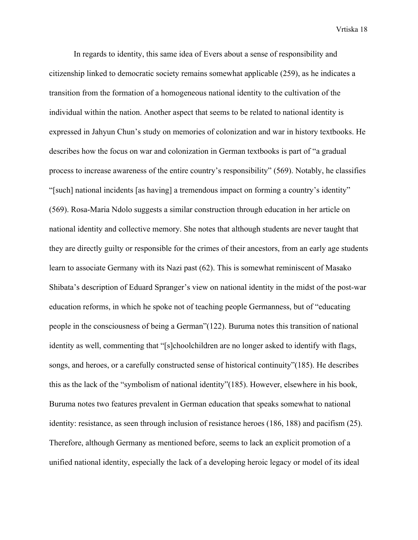In regards to identity, this same idea of Evers about a sense of responsibility and citizenship linked to democratic society remains somewhat applicable (259), as he indicates a transition from the formation of a homogeneous national identity to the cultivation of the individual within the nation. Another aspect that seems to be related to national identity is expressed in Jahyun Chun's study on memories of colonization and war in history textbooks. He describes how the focus on war and colonization in German textbooks is part of "a gradual process to increase awareness of the entire country's responsibility" (569). Notably, he classifies "[such] national incidents [as having] a tremendous impact on forming a country's identity" (569). Rosa-Maria Ndolo suggests a similar construction through education in her article on national identity and collective memory. She notes that although students are never taught that they are directly guilty or responsible for the crimes of their ancestors, from an early age students learn to associate Germany with its Nazi past (62). This is somewhat reminiscent of Masako Shibata's description of Eduard Spranger's view on national identity in the midst of the post-war education reforms, in which he spoke not of teaching people Germanness, but of "educating people in the consciousness of being a German"(122). Buruma notes this transition of national identity as well, commenting that "[s]choolchildren are no longer asked to identify with flags, songs, and heroes, or a carefully constructed sense of historical continuity"(185). He describes this as the lack of the "symbolism of national identity"(185). However, elsewhere in his book, Buruma notes two features prevalent in German education that speaks somewhat to national identity: resistance, as seen through inclusion of resistance heroes (186, 188) and pacifism (25). Therefore, although Germany as mentioned before, seems to lack an explicit promotion of a unified national identity, especially the lack of a developing heroic legacy or model of its ideal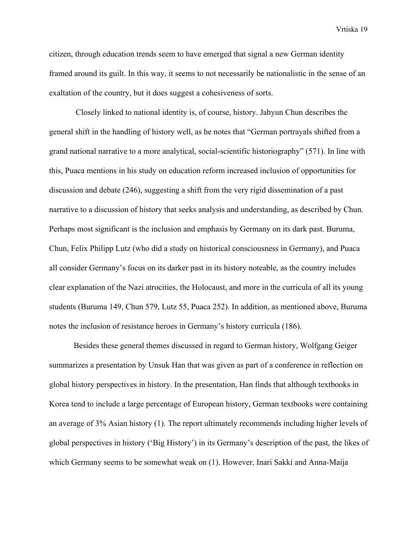citizen, through education trends seem to have emerged that signal a new German identity framed around its guilt. In this way, it seems to not necessarily be nationalistic in the sense of an exaltation of the country, but it does suggest a cohesiveness of sorts.

 Closely linked to national identity is, of course, history. Jahyun Chun describes the general shift in the handling of history well, as he notes that "German portrayals shifted from a grand national narrative to a more analytical, social-scientific historiography" (571). In line with this, Puaca mentions in his study on education reform increased inclusion of opportunities for discussion and debate (246), suggesting a shift from the very rigid dissemination of a past narrative to a discussion of history that seeks analysis and understanding, as described by Chun. Perhaps most significant is the inclusion and emphasis by Germany on its dark past. Buruma, Chun, Felix Philipp Lutz (who did a study on historical consciousness in Germany), and Puaca all consider Germany's focus on its darker past in its history noteable, as the country includes clear explanation of the Nazi atrocities, the Holocaust, and more in the curricula of all its young students (Buruma 149, Chun 579, Lutz 55, Puaca 252). In addition, as mentioned above, Buruma notes the inclusion of resistance heroes in Germany's history curricula (186).

Besides these general themes discussed in regard to German history, Wolfgang Geiger summarizes a presentation by Unsuk Han that was given as part of a conference in reflection on global history perspectives in history. In the presentation, Han finds that although textbooks in Korea tend to include a large percentage of European history, German textbooks were containing an average of 3% Asian history (1). The report ultimately recommends including higher levels of global perspectives in history ('Big History') in its Germany's description of the past, the likes of which Germany seems to be somewhat weak on (1). However, Inari Sakki and Anna-Maija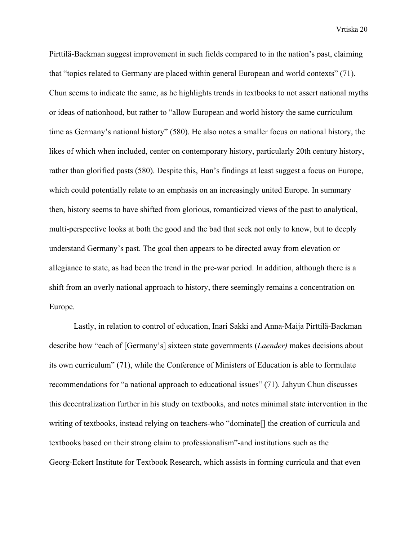Pirttilä-Backman suggest improvement in such fields compared to in the nation's past, claiming that "topics related to Germany are placed within general European and world contexts" (71). Chun seems to indicate the same, as he highlights trends in textbooks to not assert national myths or ideas of nationhood, but rather to "allow European and world history the same curriculum time as Germany's national history" (580). He also notes a smaller focus on national history, the likes of which when included, center on contemporary history, particularly 20th century history, rather than glorified pasts (580). Despite this, Han's findings at least suggest a focus on Europe, which could potentially relate to an emphasis on an increasingly united Europe. In summary then, history seems to have shifted from glorious, romanticized views of the past to analytical, multi-perspective looks at both the good and the bad that seek not only to know, but to deeply understand Germany's past. The goal then appears to be directed away from elevation or allegiance to state, as had been the trend in the pre-war period. In addition, although there is a shift from an overly national approach to history, there seemingly remains a concentration on Europe.

Lastly, in relation to control of education, Inari Sakki and Anna-Maija Pirttilä-Backman describe how "each of [Germany's] sixteen state governments (*Laender)* makes decisions about its own curriculum" (71), while the Conference of Ministers of Education is able to formulate recommendations for "a national approach to educational issues" (71). Jahyun Chun discusses this decentralization further in his study on textbooks, and notes minimal state intervention in the writing of textbooks, instead relying on teachers-who "dominate[] the creation of curricula and textbooks based on their strong claim to professionalism"-and institutions such as the Georg-Eckert Institute for Textbook Research, which assists in forming curricula and that even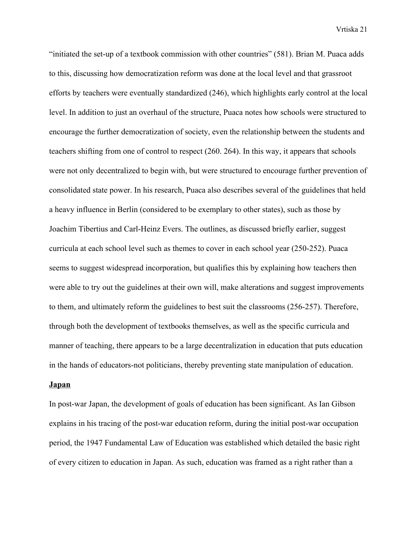"initiated the set-up of a textbook commission with other countries" (581). Brian M. Puaca adds to this, discussing how democratization reform was done at the local level and that grassroot efforts by teachers were eventually standardized (246), which highlights early control at the local level. In addition to just an overhaul of the structure, Puaca notes how schools were structured to encourage the further democratization of society, even the relationship between the students and teachers shifting from one of control to respect (260. 264). In this way, it appears that schools were not only decentralized to begin with, but were structured to encourage further prevention of consolidated state power. In his research, Puaca also describes several of the guidelines that held a heavy influence in Berlin (considered to be exemplary to other states), such as those by Joachim Tibertius and Carl-Heinz Evers. The outlines, as discussed briefly earlier, suggest curricula at each school level such as themes to cover in each school year (250-252). Puaca seems to suggest widespread incorporation, but qualifies this by explaining how teachers then were able to try out the guidelines at their own will, make alterations and suggest improvements to them, and ultimately reform the guidelines to best suit the classrooms (256-257). Therefore, through both the development of textbooks themselves, as well as the specific curricula and manner of teaching, there appears to be a large decentralization in education that puts education in the hands of educators-not politicians, thereby preventing state manipulation of education.

### **Japan**

In post-war Japan, the development of goals of education has been significant. As Ian Gibson explains in his tracing of the post-war education reform, during the initial post-war occupation period, the 1947 Fundamental Law of Education was established which detailed the basic right of every citizen to education in Japan. As such, education was framed as a right rather than a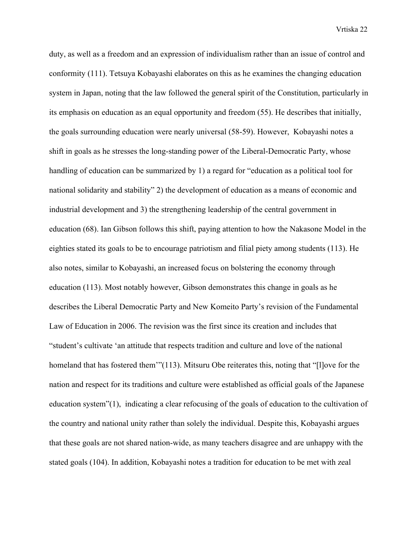duty, as well as a freedom and an expression of individualism rather than an issue of control and conformity (111). Tetsuya Kobayashi elaborates on this as he examines the changing education system in Japan, noting that the law followed the general spirit of the Constitution, particularly in its emphasis on education as an equal opportunity and freedom (55). He describes that initially, the goals surrounding education were nearly universal (58-59). However, Kobayashi notes a shift in goals as he stresses the long-standing power of the Liberal-Democratic Party, whose handling of education can be summarized by 1) a regard for "education as a political tool for national solidarity and stability" 2) the development of education as a means of economic and industrial development and 3) the strengthening leadership of the central government in education (68). Ian Gibson follows this shift, paying attention to how the Nakasone Model in the eighties stated its goals to be to encourage patriotism and filial piety among students (113). He also notes, similar to Kobayashi, an increased focus on bolstering the economy through education (113). Most notably however, Gibson demonstrates this change in goals as he describes the Liberal Democratic Party and New Komeito Party's revision of the Fundamental Law of Education in 2006. The revision was the first since its creation and includes that "student's cultivate 'an attitude that respects tradition and culture and love of the national homeland that has fostered them<sup>3</sup> (113). Mitsuru Obe reiterates this, noting that "[l]ove for the nation and respect for its traditions and culture were established as official goals of the Japanese education system"(1), indicating a clear refocusing of the goals of education to the cultivation of the country and national unity rather than solely the individual. Despite this, Kobayashi argues that these goals are not shared nation-wide, as many teachers disagree and are unhappy with the stated goals (104). In addition, Kobayashi notes a tradition for education to be met with zeal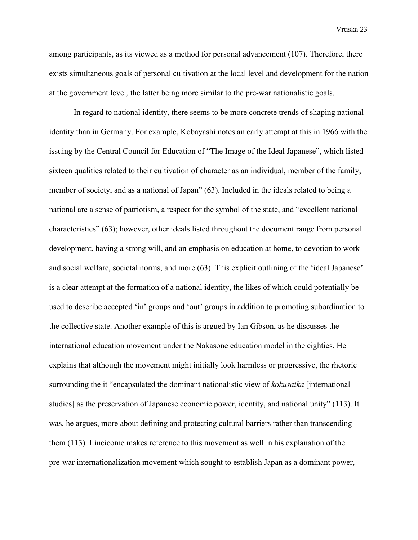among participants, as its viewed as a method for personal advancement (107). Therefore, there exists simultaneous goals of personal cultivation at the local level and development for the nation at the government level, the latter being more similar to the pre-war nationalistic goals.

In regard to national identity, there seems to be more concrete trends of shaping national identity than in Germany. For example, Kobayashi notes an early attempt at this in 1966 with the issuing by the Central Council for Education of "The Image of the Ideal Japanese", which listed sixteen qualities related to their cultivation of character as an individual, member of the family, member of society, and as a national of Japan" (63). Included in the ideals related to being a national are a sense of patriotism, a respect for the symbol of the state, and "excellent national characteristics" (63); however, other ideals listed throughout the document range from personal development, having a strong will, and an emphasis on education at home, to devotion to work and social welfare, societal norms, and more (63). This explicit outlining of the 'ideal Japanese' is a clear attempt at the formation of a national identity, the likes of which could potentially be used to describe accepted 'in' groups and 'out' groups in addition to promoting subordination to the collective state. Another example of this is argued by Ian Gibson, as he discusses the international education movement under the Nakasone education model in the eighties. He explains that although the movement might initially look harmless or progressive, the rhetoric surrounding the it "encapsulated the dominant nationalistic view of *kokusaika* [international studies] as the preservation of Japanese economic power, identity, and national unity" (113). It was, he argues, more about defining and protecting cultural barriers rather than transcending them (113). Lincicome makes reference to this movement as well in his explanation of the pre-war internationalization movement which sought to establish Japan as a dominant power,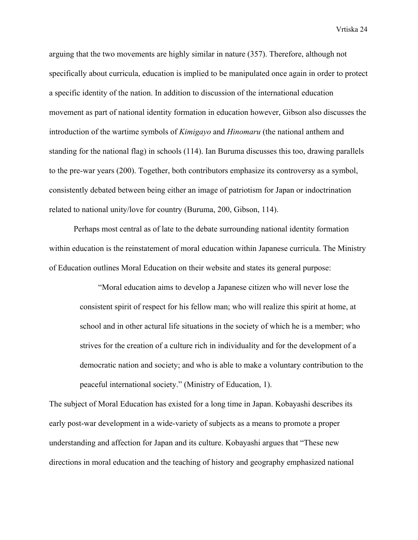arguing that the two movements are highly similar in nature (357). Therefore, although not specifically about curricula, education is implied to be manipulated once again in order to protect a specific identity of the nation. In addition to discussion of the international education movement as part of national identity formation in education however, Gibson also discusses the introduction of the wartime symbols of *Kimigayo* and *Hinomaru* (the national anthem and standing for the national flag) in schools (114). Ian Buruma discusses this too, drawing parallels to the pre-war years (200). Together, both contributors emphasize its controversy as a symbol, consistently debated between being either an image of patriotism for Japan or indoctrination related to national unity/love for country (Buruma, 200, Gibson, 114).

Perhaps most central as of late to the debate surrounding national identity formation within education is the reinstatement of moral education within Japanese curricula. The Ministry of Education outlines Moral Education on their website and states its general purpose:

"Moral education aims to develop a Japanese citizen who will never lose the consistent spirit of respect for his fellow man; who will realize this spirit at home, at school and in other actural life situations in the society of which he is a member; who strives for the creation of a culture rich in individuality and for the development of a democratic nation and society; and who is able to make a voluntary contribution to the peaceful international society." (Ministry of Education, 1).

The subject of Moral Education has existed for a long time in Japan. Kobayashi describes its early post-war development in a wide-variety of subjects as a means to promote a proper understanding and affection for Japan and its culture. Kobayashi argues that "These new directions in moral education and the teaching of history and geography emphasized national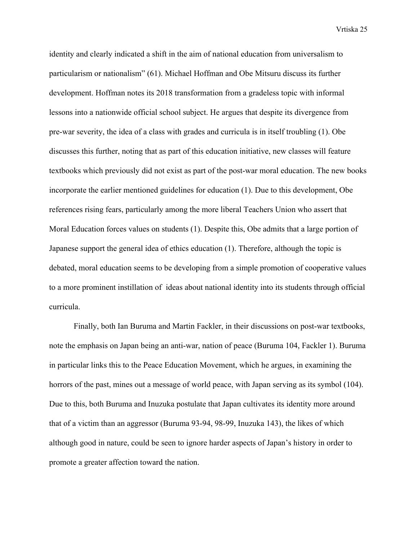identity and clearly indicated a shift in the aim of national education from universalism to particularism or nationalism" (61). Michael Hoffman and Obe Mitsuru discuss its further development. Hoffman notes its 2018 transformation from a gradeless topic with informal lessons into a nationwide official school subject. He argues that despite its divergence from pre-war severity, the idea of a class with grades and curricula is in itself troubling (1). Obe discusses this further, noting that as part of this education initiative, new classes will feature textbooks which previously did not exist as part of the post-war moral education. The new books incorporate the earlier mentioned guidelines for education (1). Due to this development, Obe references rising fears, particularly among the more liberal Teachers Union who assert that Moral Education forces values on students (1). Despite this, Obe admits that a large portion of Japanese support the general idea of ethics education (1). Therefore, although the topic is debated, moral education seems to be developing from a simple promotion of cooperative values to a more prominent instillation of ideas about national identity into its students through official curricula.

Finally, both Ian Buruma and Martin Fackler, in their discussions on post-war textbooks, note the emphasis on Japan being an anti-war, nation of peace (Buruma 104, Fackler 1). Buruma in particular links this to the Peace Education Movement, which he argues, in examining the horrors of the past, mines out a message of world peace, with Japan serving as its symbol (104). Due to this, both Buruma and Inuzuka postulate that Japan cultivates its identity more around that of a victim than an aggressor (Buruma 93-94, 98-99, Inuzuka 143), the likes of which although good in nature, could be seen to ignore harder aspects of Japan's history in order to promote a greater affection toward the nation.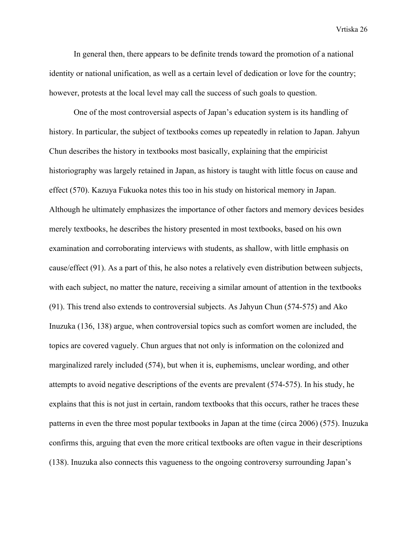In general then, there appears to be definite trends toward the promotion of a national identity or national unification, as well as a certain level of dedication or love for the country; however, protests at the local level may call the success of such goals to question.

One of the most controversial aspects of Japan's education system is its handling of history. In particular, the subject of textbooks comes up repeatedly in relation to Japan. Jahyun Chun describes the history in textbooks most basically, explaining that the empiricist historiography was largely retained in Japan, as history is taught with little focus on cause and effect (570). Kazuya Fukuoka notes this too in his study on historical memory in Japan. Although he ultimately emphasizes the importance of other factors and memory devices besides merely textbooks, he describes the history presented in most textbooks, based on his own examination and corroborating interviews with students, as shallow, with little emphasis on cause/effect (91). As a part of this, he also notes a relatively even distribution between subjects, with each subject, no matter the nature, receiving a similar amount of attention in the textbooks (91). This trend also extends to controversial subjects. As Jahyun Chun (574-575) and Ako Inuzuka (136, 138) argue, when controversial topics such as comfort women are included, the topics are covered vaguely. Chun argues that not only is information on the colonized and marginalized rarely included (574), but when it is, euphemisms, unclear wording, and other attempts to avoid negative descriptions of the events are prevalent (574-575). In his study, he explains that this is not just in certain, random textbooks that this occurs, rather he traces these patterns in even the three most popular textbooks in Japan at the time (circa 2006) (575). Inuzuka confirms this, arguing that even the more critical textbooks are often vague in their descriptions (138). Inuzuka also connects this vagueness to the ongoing controversy surrounding Japan's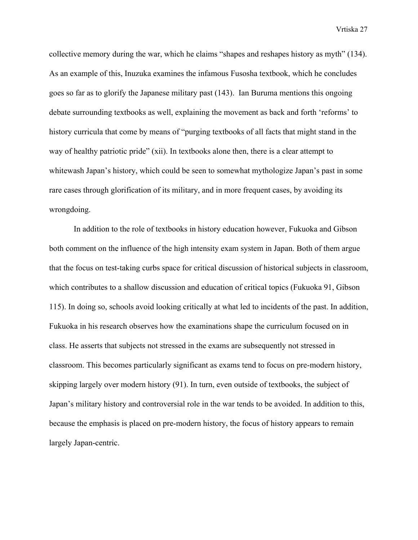collective memory during the war, which he claims "shapes and reshapes history as myth" (134). As an example of this, Inuzuka examines the infamous Fusosha textbook, which he concludes goes so far as to glorify the Japanese military past (143). Ian Buruma mentions this ongoing debate surrounding textbooks as well, explaining the movement as back and forth 'reforms' to history curricula that come by means of "purging textbooks of all facts that might stand in the way of healthy patriotic pride" (xii). In textbooks alone then, there is a clear attempt to whitewash Japan's history, which could be seen to somewhat mythologize Japan's past in some rare cases through glorification of its military, and in more frequent cases, by avoiding its wrongdoing.

In addition to the role of textbooks in history education however, Fukuoka and Gibson both comment on the influence of the high intensity exam system in Japan. Both of them argue that the focus on test-taking curbs space for critical discussion of historical subjects in classroom, which contributes to a shallow discussion and education of critical topics (Fukuoka 91, Gibson 115). In doing so, schools avoid looking critically at what led to incidents of the past. In addition, Fukuoka in his research observes how the examinations shape the curriculum focused on in class. He asserts that subjects not stressed in the exams are subsequently not stressed in classroom. This becomes particularly significant as exams tend to focus on pre-modern history, skipping largely over modern history (91). In turn, even outside of textbooks, the subject of Japan's military history and controversial role in the war tends to be avoided. In addition to this, because the emphasis is placed on pre-modern history, the focus of history appears to remain largely Japan-centric.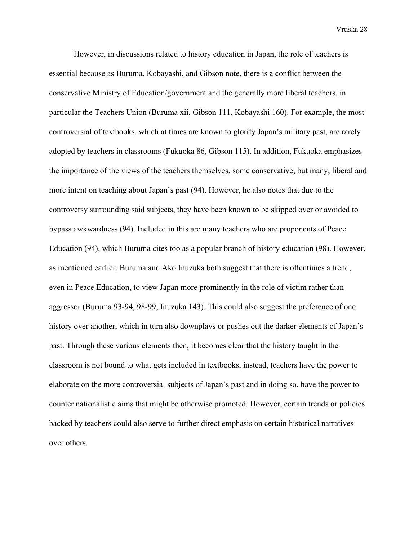However, in discussions related to history education in Japan, the role of teachers is essential because as Buruma, Kobayashi, and Gibson note, there is a conflict between the conservative Ministry of Education/government and the generally more liberal teachers, in particular the Teachers Union (Buruma xii, Gibson 111, Kobayashi 160). For example, the most controversial of textbooks, which at times are known to glorify Japan's military past, are rarely adopted by teachers in classrooms (Fukuoka 86, Gibson 115). In addition, Fukuoka emphasizes the importance of the views of the teachers themselves, some conservative, but many, liberal and more intent on teaching about Japan's past (94). However, he also notes that due to the controversy surrounding said subjects, they have been known to be skipped over or avoided to bypass awkwardness (94). Included in this are many teachers who are proponents of Peace Education (94), which Buruma cites too as a popular branch of history education (98). However, as mentioned earlier, Buruma and Ako Inuzuka both suggest that there is oftentimes a trend, even in Peace Education, to view Japan more prominently in the role of victim rather than aggressor (Buruma 93-94, 98-99, Inuzuka 143). This could also suggest the preference of one history over another, which in turn also downplays or pushes out the darker elements of Japan's past. Through these various elements then, it becomes clear that the history taught in the classroom is not bound to what gets included in textbooks, instead, teachers have the power to elaborate on the more controversial subjects of Japan's past and in doing so, have the power to counter nationalistic aims that might be otherwise promoted. However, certain trends or policies backed by teachers could also serve to further direct emphasis on certain historical narratives over others.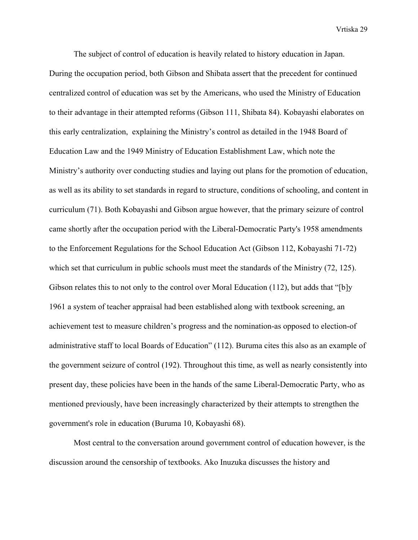The subject of control of education is heavily related to history education in Japan. During the occupation period, both Gibson and Shibata assert that the precedent for continued centralized control of education was set by the Americans, who used the Ministry of Education to their advantage in their attempted reforms (Gibson 111, Shibata 84). Kobayashi elaborates on this early centralization, explaining the Ministry's control as detailed in the 1948 Board of Education Law and the 1949 Ministry of Education Establishment Law, which note the Ministry's authority over conducting studies and laying out plans for the promotion of education, as well as its ability to set standards in regard to structure, conditions of schooling, and content in curriculum (71). Both Kobayashi and Gibson argue however, that the primary seizure of control came shortly after the occupation period with the Liberal-Democratic Party's 1958 amendments to the Enforcement Regulations for the School Education Act (Gibson 112, Kobayashi 71-72) which set that curriculum in public schools must meet the standards of the Ministry (72, 125). Gibson relates this to not only to the control over Moral Education (112), but adds that "[b]y 1961 a system of teacher appraisal had been established along with textbook screening, an achievement test to measure children's progress and the nomination-as opposed to election-of administrative staff to local Boards of Education" (112). Buruma cites this also as an example of the government seizure of control (192). Throughout this time, as well as nearly consistently into present day, these policies have been in the hands of the same Liberal-Democratic Party, who as mentioned previously, have been increasingly characterized by their attempts to strengthen the government's role in education (Buruma 10, Kobayashi 68).

Most central to the conversation around government control of education however, is the discussion around the censorship of textbooks. Ako Inuzuka discusses the history and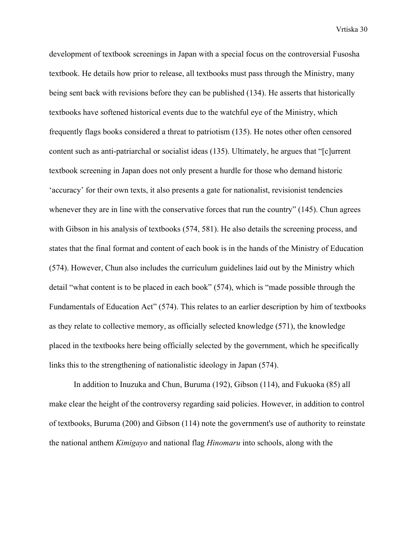development of textbook screenings in Japan with a special focus on the controversial Fusosha textbook. He details how prior to release, all textbooks must pass through the Ministry, many being sent back with revisions before they can be published (134). He asserts that historically textbooks have softened historical events due to the watchful eye of the Ministry, which frequently flags books considered a threat to patriotism (135). He notes other often censored content such as anti-patriarchal or socialist ideas (135). Ultimately, he argues that "[c]urrent textbook screening in Japan does not only present a hurdle for those who demand historic 'accuracy' for their own texts, it also presents a gate for nationalist, revisionist tendencies whenever they are in line with the conservative forces that run the country" (145). Chun agrees with Gibson in his analysis of textbooks (574, 581). He also details the screening process, and states that the final format and content of each book is in the hands of the Ministry of Education (574). However, Chun also includes the curriculum guidelines laid out by the Ministry which detail "what content is to be placed in each book" (574), which is "made possible through the Fundamentals of Education Act" (574). This relates to an earlier description by him of textbooks as they relate to collective memory, as officially selected knowledge (571), the knowledge placed in the textbooks here being officially selected by the government, which he specifically links this to the strengthening of nationalistic ideology in Japan (574).

In addition to Inuzuka and Chun, Buruma (192), Gibson (114), and Fukuoka (85) all make clear the height of the controversy regarding said policies. However, in addition to control of textbooks, Buruma (200) and Gibson (114) note the government's use of authority to reinstate the national anthem *Kimigayo* and national flag *Hinomaru* into schools, along with the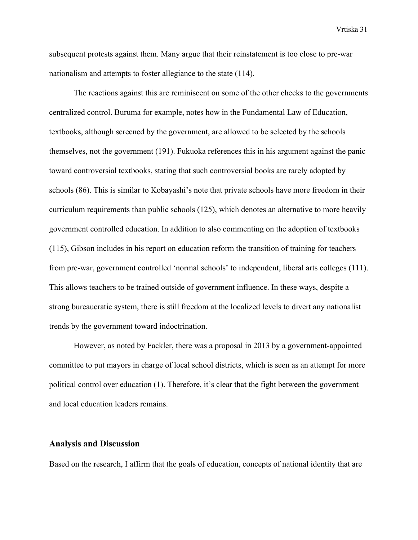subsequent protests against them. Many argue that their reinstatement is too close to pre-war nationalism and attempts to foster allegiance to the state (114).

The reactions against this are reminiscent on some of the other checks to the governments centralized control. Buruma for example, notes how in the Fundamental Law of Education, textbooks, although screened by the government, are allowed to be selected by the schools themselves, not the government (191). Fukuoka references this in his argument against the panic toward controversial textbooks, stating that such controversial books are rarely adopted by schools (86). This is similar to Kobayashi's note that private schools have more freedom in their curriculum requirements than public schools (125), which denotes an alternative to more heavily government controlled education. In addition to also commenting on the adoption of textbooks (115), Gibson includes in his report on education reform the transition of training for teachers from pre-war, government controlled 'normal schools' to independent, liberal arts colleges (111). This allows teachers to be trained outside of government influence. In these ways, despite a strong bureaucratic system, there is still freedom at the localized levels to divert any nationalist trends by the government toward indoctrination.

However, as noted by Fackler, there was a proposal in 2013 by a government-appointed committee to put mayors in charge of local school districts, which is seen as an attempt for more political control over education (1). Therefore, it's clear that the fight between the government and local education leaders remains.

### **Analysis and Discussion**

Based on the research, I affirm that the goals of education, concepts of national identity that are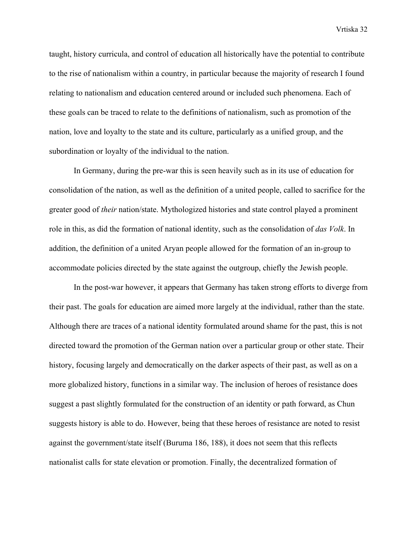taught, history curricula, and control of education all historically have the potential to contribute to the rise of nationalism within a country, in particular because the majority of research I found relating to nationalism and education centered around or included such phenomena. Each of these goals can be traced to relate to the definitions of nationalism, such as promotion of the nation, love and loyalty to the state and its culture, particularly as a unified group, and the subordination or loyalty of the individual to the nation.

In Germany, during the pre-war this is seen heavily such as in its use of education for consolidation of the nation, as well as the definition of a united people, called to sacrifice for the greater good of *their* nation/state. Mythologized histories and state control played a prominent role in this, as did the formation of national identity, such as the consolidation of *das Volk*. In addition, the definition of a united Aryan people allowed for the formation of an in-group to accommodate policies directed by the state against the outgroup, chiefly the Jewish people.

In the post-war however, it appears that Germany has taken strong efforts to diverge from their past. The goals for education are aimed more largely at the individual, rather than the state. Although there are traces of a national identity formulated around shame for the past, this is not directed toward the promotion of the German nation over a particular group or other state. Their history, focusing largely and democratically on the darker aspects of their past, as well as on a more globalized history, functions in a similar way. The inclusion of heroes of resistance does suggest a past slightly formulated for the construction of an identity or path forward, as Chun suggests history is able to do. However, being that these heroes of resistance are noted to resist against the government/state itself (Buruma 186, 188), it does not seem that this reflects nationalist calls for state elevation or promotion. Finally, the decentralized formation of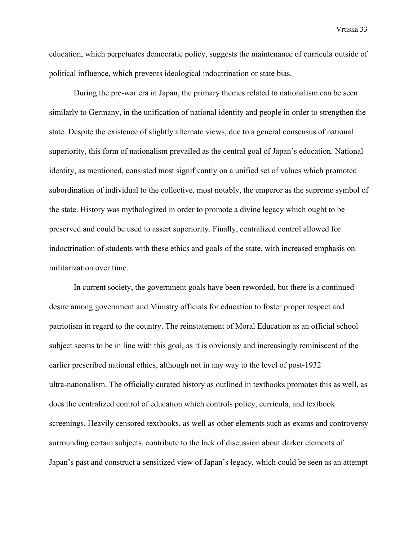education, which perpetuates democratic policy, suggests the maintenance of curricula outside of political influence, which prevents ideological indoctrination or state bias.

During the pre-war era in Japan, the primary themes related to nationalism can be seen similarly to Germany, in the unification of national identity and people in order to strengthen the state. Despite the existence of slightly alternate views, due to a general consensus of national superiority, this form of nationalism prevailed as the central goal of Japan's education. National identity, as mentioned, consisted most significantly on a unified set of values which promoted subordination of individual to the collective, most notably, the emperor as the supreme symbol of the state. History was mythologized in order to promote a divine legacy which ought to be preserved and could be used to assert superiority. Finally, centralized control allowed for indoctrination of students with these ethics and goals of the state, with increased emphasis on militarization over time.

In current society, the government goals have been reworded, but there is a continued desire among government and Ministry officials for education to foster proper respect and patriotism in regard to the country. The reinstatement of Moral Education as an official school subject seems to be in line with this goal, as it is obviously and increasingly reminiscent of the earlier prescribed national ethics, although not in any way to the level of post-1932 ultra-nationalism. The officially curated history as outlined in textbooks promotes this as well, as does the centralized control of education which controls policy, curricula, and textbook screenings. Heavily censored textbooks, as well as other elements such as exams and controversy surrounding certain subjects, contribute to the lack of discussion about darker elements of Japan's past and construct a sensitized view of Japan's legacy, which could be seen as an attempt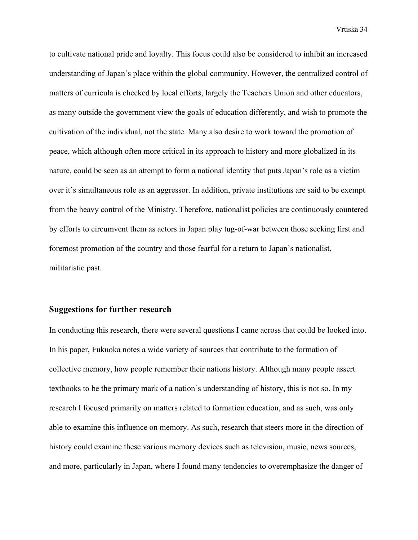to cultivate national pride and loyalty. This focus could also be considered to inhibit an increased understanding of Japan's place within the global community. However, the centralized control of matters of curricula is checked by local efforts, largely the Teachers Union and other educators, as many outside the government view the goals of education differently, and wish to promote the cultivation of the individual, not the state. Many also desire to work toward the promotion of peace, which although often more critical in its approach to history and more globalized in its nature, could be seen as an attempt to form a national identity that puts Japan's role as a victim over it's simultaneous role as an aggressor. In addition, private institutions are said to be exempt from the heavy control of the Ministry. Therefore, nationalist policies are continuously countered by efforts to circumvent them as actors in Japan play tug-of-war between those seeking first and foremost promotion of the country and those fearful for a return to Japan's nationalist, militaristic past.

### **Suggestions for further research**

In conducting this research, there were several questions I came across that could be looked into. In his paper, Fukuoka notes a wide variety of sources that contribute to the formation of collective memory, how people remember their nations history. Although many people assert textbooks to be the primary mark of a nation's understanding of history, this is not so. In my research I focused primarily on matters related to formation education, and as such, was only able to examine this influence on memory. As such, research that steers more in the direction of history could examine these various memory devices such as television, music, news sources, and more, particularly in Japan, where I found many tendencies to overemphasize the danger of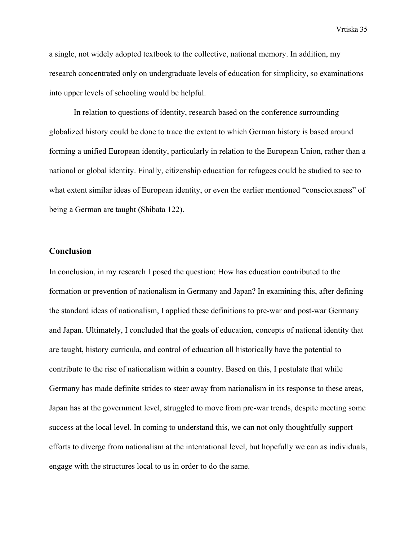a single, not widely adopted textbook to the collective, national memory. In addition, my research concentrated only on undergraduate levels of education for simplicity, so examinations into upper levels of schooling would be helpful.

In relation to questions of identity, research based on the conference surrounding globalized history could be done to trace the extent to which German history is based around forming a unified European identity, particularly in relation to the European Union, rather than a national or global identity. Finally, citizenship education for refugees could be studied to see to what extent similar ideas of European identity, or even the earlier mentioned "consciousness" of being a German are taught (Shibata 122).

### **Conclusion**

In conclusion, in my research I posed the question: How has education contributed to the formation or prevention of nationalism in Germany and Japan? In examining this, after defining the standard ideas of nationalism, I applied these definitions to pre-war and post-war Germany and Japan. Ultimately, I concluded that the goals of education, concepts of national identity that are taught, history curricula, and control of education all historically have the potential to contribute to the rise of nationalism within a country. Based on this, I postulate that while Germany has made definite strides to steer away from nationalism in its response to these areas, Japan has at the government level, struggled to move from pre-war trends, despite meeting some success at the local level. In coming to understand this, we can not only thoughtfully support efforts to diverge from nationalism at the international level, but hopefully we can as individuals, engage with the structures local to us in order to do the same.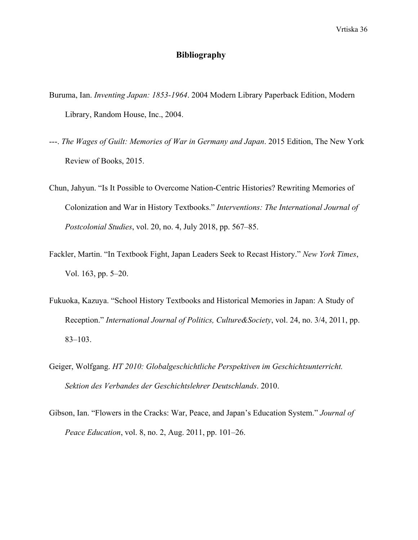### **Bibliography**

- Buruma, Ian. *Inventing Japan: 1853-1964*. 2004 Modern Library Paperback Edition, Modern Library, Random House, Inc., 2004.
- ---. *The Wages of Guilt: Memories of War in Germany and Japan*. 2015 Edition, The New York Review of Books, 2015.
- Chun, Jahyun. "Is It Possible to Overcome Nation-Centric Histories? Rewriting Memories of Colonization and War in History Textbooks." *Interventions: The International Journal of Postcolonial Studies*, vol. 20, no. 4, July 2018, pp. 567–85.
- Fackler, Martin. "In Textbook Fight, Japan Leaders Seek to Recast History." *New York Times*, Vol. 163, pp. 5–20.
- Fukuoka, Kazuya. "School History Textbooks and Historical Memories in Japan: A Study of Reception." *International Journal of Politics, Culture&Society*, vol. 24, no. 3/4, 2011, pp. 83–103.
- Geiger, Wolfgang. *HT 2010: Globalgeschichtliche Perspektiven im Geschichtsunterricht. Sektion des Verbandes der Geschichtslehrer Deutschlands*. 2010.
- Gibson, Ian. "Flowers in the Cracks: War, Peace, and Japan's Education System." *Journal of Peace Education*, vol. 8, no. 2, Aug. 2011, pp. 101–26.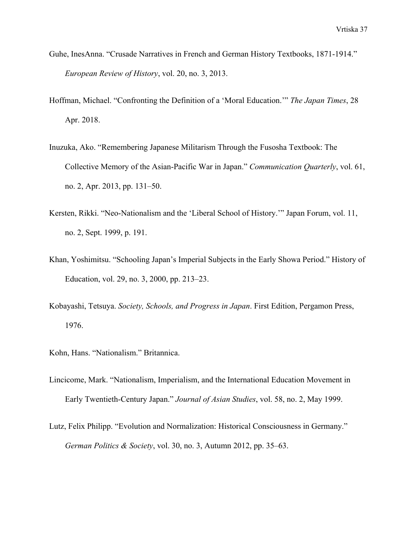- Guhe, InesAnna. "Crusade Narratives in French and German History Textbooks, 1871-1914." *European Review of History*, vol. 20, no. 3, 2013.
- Hoffman, Michael. "Confronting the Definition of a 'Moral Education.'" *The Japan Times*, 28 Apr. 2018.
- Inuzuka, Ako. "Remembering Japanese Militarism Through the Fusosha Textbook: The Collective Memory of the Asian-Pacific War in Japan." *Communication Quarterly*, vol. 61, no. 2, Apr. 2013, pp. 131–50.
- Kersten, Rikki. "Neo-Nationalism and the 'Liberal School of History.'" Japan Forum, vol. 11, no. 2, Sept. 1999, p. 191.
- Khan, Yoshimitsu. "Schooling Japan's Imperial Subjects in the Early Showa Period." History of Education, vol. 29, no. 3, 2000, pp. 213–23.
- Kobayashi, Tetsuya. *Society, Schools, and Progress in Japan*. First Edition, Pergamon Press, 1976.
- Kohn, Hans. "Nationalism." Britannica.
- Lincicome, Mark. "Nationalism, Imperialism, and the International Education Movement in Early Twentieth-Century Japan." *Journal of Asian Studies*, vol. 58, no. 2, May 1999.
- Lutz, Felix Philipp. "Evolution and Normalization: Historical Consciousness in Germany." *German Politics & Society*, vol. 30, no. 3, Autumn 2012, pp. 35–63.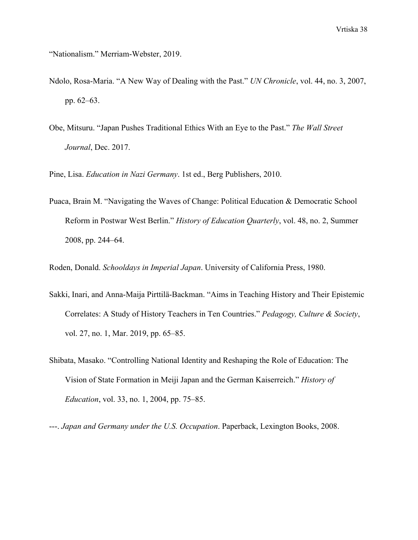"Nationalism." Merriam-Webster, 2019.

- Ndolo, Rosa-Maria. "A New Way of Dealing with the Past." *UN Chronicle*, vol. 44, no. 3, 2007, pp. 62–63.
- Obe, Mitsuru. "Japan Pushes Traditional Ethics With an Eye to the Past." *The Wall Street Journal*, Dec. 2017.

Pine, Lisa. *Education in Nazi Germany*. 1st ed., Berg Publishers, 2010.

Puaca, Brain M. "Navigating the Waves of Change: Political Education & Democratic School Reform in Postwar West Berlin." *History of Education Quarterly*, vol. 48, no. 2, Summer 2008, pp. 244–64.

Roden, Donald. *Schooldays in Imperial Japan*. University of California Press, 1980.

- Sakki, Inari, and Anna-Maija Pirttilä-Backman. "Aims in Teaching History and Their Epistemic Correlates: A Study of History Teachers in Ten Countries." *Pedagogy, Culture & Society*, vol. 27, no. 1, Mar. 2019, pp. 65–85.
- Shibata, Masako. "Controlling National Identity and Reshaping the Role of Education: The Vision of State Formation in Meiji Japan and the German Kaiserreich." *History of Education*, vol. 33, no. 1, 2004, pp. 75–85.

---. *Japan and Germany under the U.S. Occupation*. Paperback, Lexington Books, 2008.